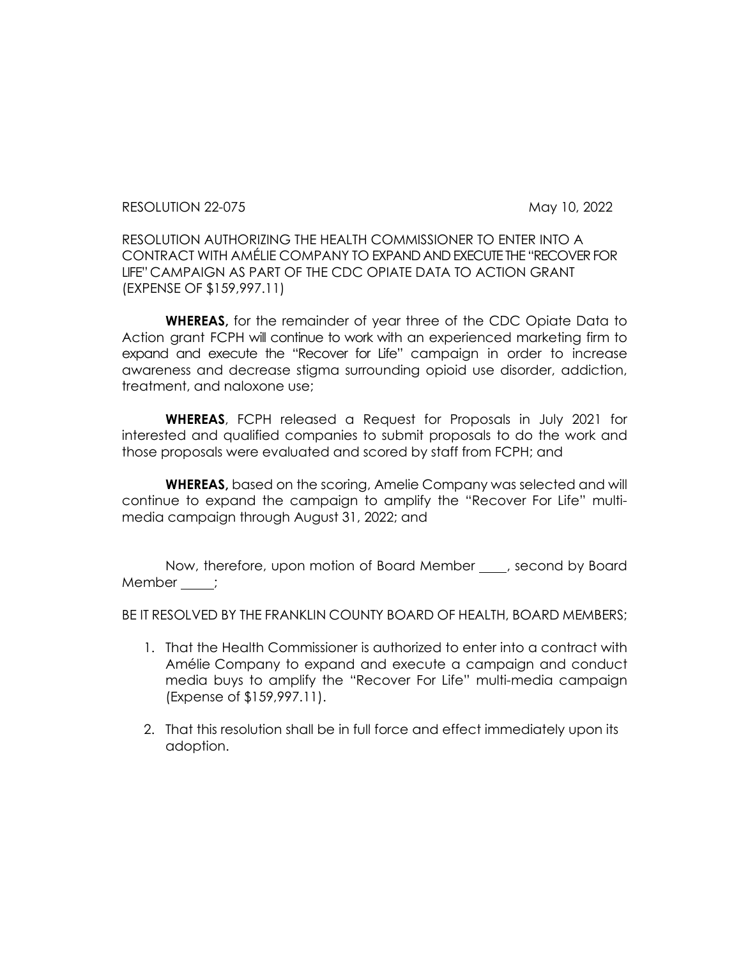RESOLUTION 22-075 May 10, 2022

RESOLUTION AUTHORIZING THE HEALTH COMMISSIONER TO ENTER INTO A CONTRACT WITH AMÉLIE COMPANY TO EXPAND AND EXECUTE THE "RECOVER FOR LIFE" CAMPAIGN AS PART OF THE CDC OPIATE DATA TO ACTION GRANT (EXPENSE OF \$159,997.11)

**WHEREAS,** for the remainder of year three of the CDC Opiate Data to Action grant FCPH will continue to work with an experienced marketing firm to expand and execute the "Recover for Life" campaign in order to increase awareness and decrease stigma surrounding opioid use disorder, addiction, treatment, and naloxone use;

**WHEREAS**, FCPH released a Request for Proposals in July 2021 for interested and qualified companies to submit proposals to do the work and those proposals were evaluated and scored by staff from FCPH; and

**WHEREAS,** based on the scoring, Amelie Company was selected and will continue to expand the campaign to amplify the "Recover For Life" multimedia campaign through August 31, 2022; and

Now, therefore, upon motion of Board Member , second by Board Member \_\_\_\_;

BE IT RESOLVED BY THE FRANKLIN COUNTY BOARD OF HEALTH, BOARD MEMBERS;

- 1. That the Health Commissioner is authorized to enter into a contract with Amélie Company to expand and execute a campaign and conduct media buys to amplify the "Recover For Life" multi-media campaign (Expense of \$159,997.11).
- 2. That this resolution shall be in full force and effect immediately upon its adoption.